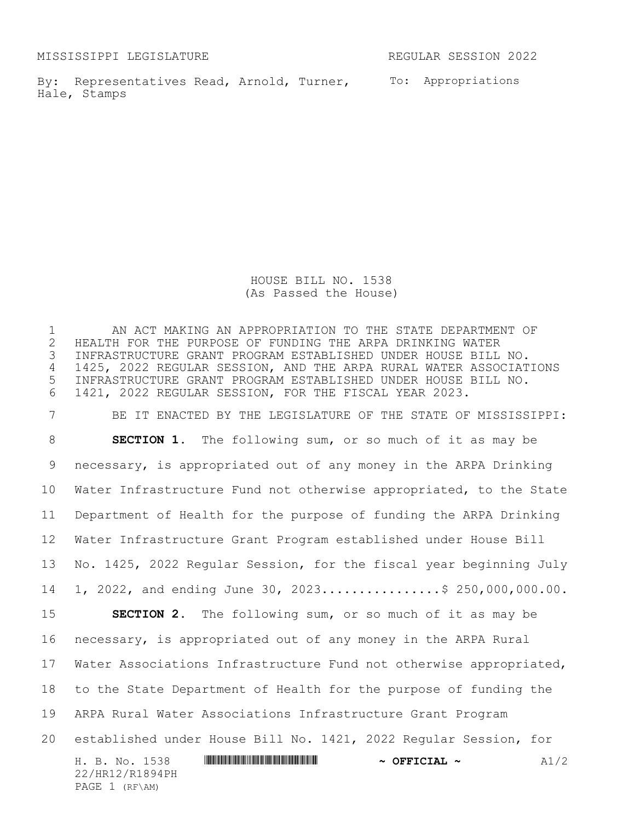MISSISSIPPI LEGISLATURE REGULAR SESSION 2022

By: Representatives Read, Arnold, Turner, To: Appropriations Hale, Stamps

HOUSE BILL NO. 1538 (As Passed the House)

 AN ACT MAKING AN APPROPRIATION TO THE STATE DEPARTMENT OF HEALTH FOR THE PURPOSE OF FUNDING THE ARPA DRINKING WATER INFRASTRUCTURE GRANT PROGRAM ESTABLISHED UNDER HOUSE BILL NO. 1425, 2022 REGULAR SESSION, AND THE ARPA RURAL WATER ASSOCIATIONS INFRASTRUCTURE GRANT PROGRAM ESTABLISHED UNDER HOUSE BILL NO. 1421, 2022 REGULAR SESSION, FOR THE FISCAL YEAR 2023.

H. B. No. 1538 \*HR12/R1894PH\* **~ OFFICIAL ~** A1/2 22/HR12/R1894PH PAGE 1 (RF\AM) BE IT ENACTED BY THE LEGISLATURE OF THE STATE OF MISSISSIPPI: **SECTION 1.** The following sum, or so much of it as may be necessary, is appropriated out of any money in the ARPA Drinking Water Infrastructure Fund not otherwise appropriated, to the State Department of Health for the purpose of funding the ARPA Drinking Water Infrastructure Grant Program established under House Bill No. 1425, 2022 Regular Session, for the fiscal year beginning July 14 1, 2022, and ending June 30, 2023................\$ 250,000,000.00. **SECTION 2.** The following sum, or so much of it as may be necessary, is appropriated out of any money in the ARPA Rural Water Associations Infrastructure Fund not otherwise appropriated, to the State Department of Health for the purpose of funding the ARPA Rural Water Associations Infrastructure Grant Program established under House Bill No. 1421, 2022 Regular Session, for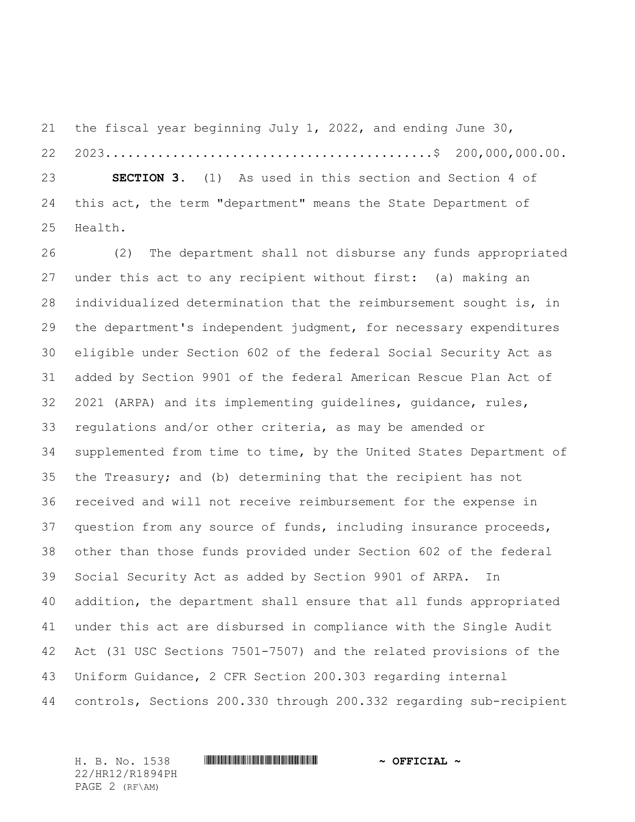the fiscal year beginning July 1, 2022, and ending June 30, 2023............................................\$ 200,000,000.00. **SECTION 3.** (1) As used in this section and Section 4 of this act, the term "department" means the State Department of Health.

26 (2) The department shall not disburse any funds appropriated under this act to any recipient without first: (a) making an individualized determination that the reimbursement sought is, in the department's independent judgment, for necessary expenditures eligible under Section 602 of the federal Social Security Act as added by Section 9901 of the federal American Rescue Plan Act of 2021 (ARPA) and its implementing guidelines, guidance, rules, regulations and/or other criteria, as may be amended or supplemented from time to time, by the United States Department of the Treasury; and (b) determining that the recipient has not received and will not receive reimbursement for the expense in question from any source of funds, including insurance proceeds, other than those funds provided under Section 602 of the federal Social Security Act as added by Section 9901 of ARPA. In addition, the department shall ensure that all funds appropriated under this act are disbursed in compliance with the Single Audit Act (31 USC Sections 7501-7507) and the related provisions of the Uniform Guidance, 2 CFR Section 200.303 regarding internal controls, Sections 200.330 through 200.332 regarding sub-recipient

22/HR12/R1894PH PAGE 2 (RF\AM)

## H. B. No. 1538 \*HR12/R1894PH\* **~ OFFICIAL ~**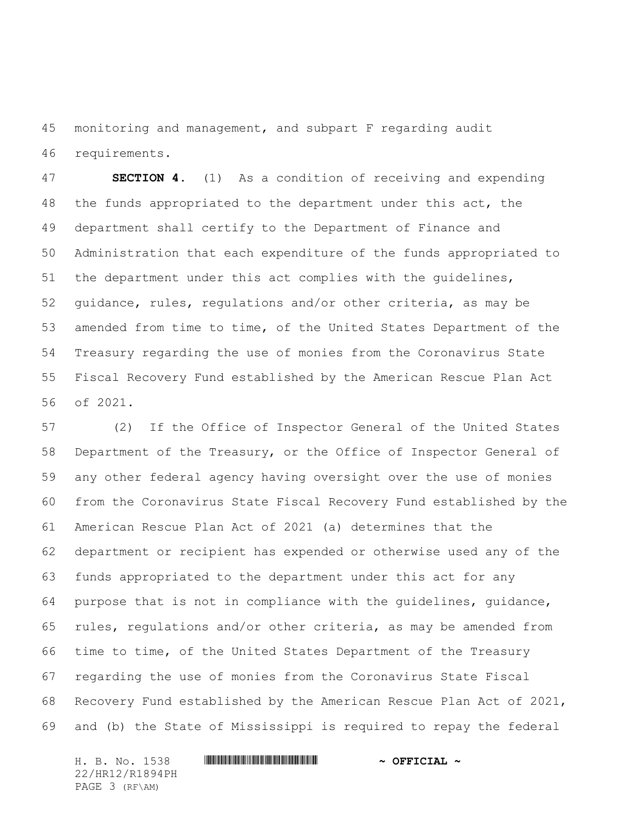monitoring and management, and subpart F regarding audit requirements.

 **SECTION 4.** (1) As a condition of receiving and expending the funds appropriated to the department under this act, the department shall certify to the Department of Finance and Administration that each expenditure of the funds appropriated to the department under this act complies with the guidelines, guidance, rules, regulations and/or other criteria, as may be amended from time to time, of the United States Department of the Treasury regarding the use of monies from the Coronavirus State Fiscal Recovery Fund established by the American Rescue Plan Act of 2021.

 (2) If the Office of Inspector General of the United States Department of the Treasury, or the Office of Inspector General of any other federal agency having oversight over the use of monies from the Coronavirus State Fiscal Recovery Fund established by the American Rescue Plan Act of 2021 (a) determines that the department or recipient has expended or otherwise used any of the funds appropriated to the department under this act for any purpose that is not in compliance with the guidelines, guidance, rules, regulations and/or other criteria, as may be amended from time to time, of the United States Department of the Treasury regarding the use of monies from the Coronavirus State Fiscal Recovery Fund established by the American Rescue Plan Act of 2021, and (b) the State of Mississippi is required to repay the federal

H. B. No. 1538 \*HR12/R1894PH\* **~ OFFICIAL ~** 22/HR12/R1894PH PAGE 3 (RF\AM)